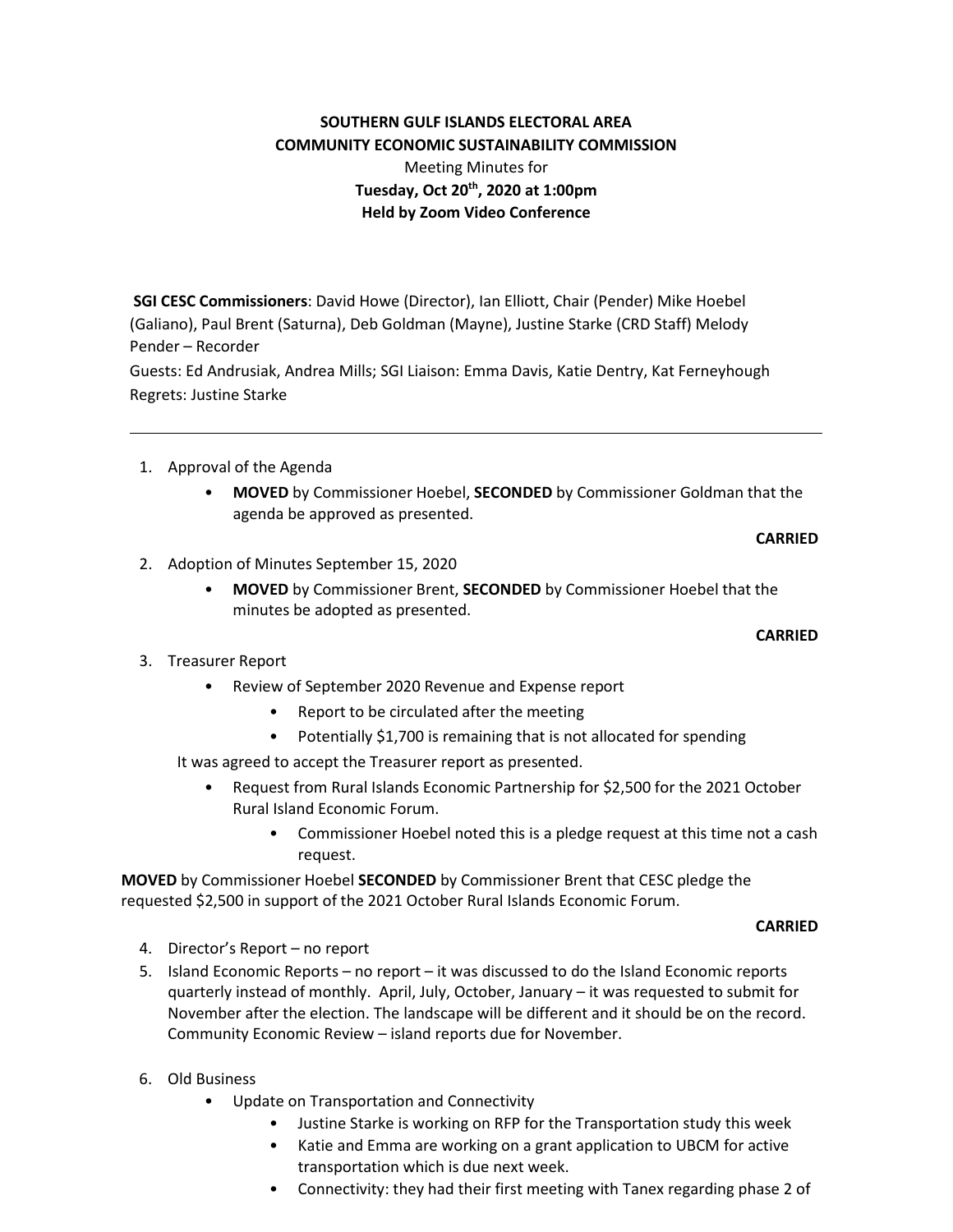## **SOUTHERN GULF ISLANDS ELECTORAL AREA COMMUNITY ECONOMIC SUSTAINABILITY COMMISSION**

# Meeting Minutes for **Tuesday, Oct 20th, 2020 at 1:00pm Held by Zoom Video Conference**

**SGI CESC Commissioners**: David Howe (Director), Ian Elliott, Chair (Pender) Mike Hoebel (Galiano), Paul Brent (Saturna), Deb Goldman (Mayne), Justine Starke (CRD Staff) Melody Pender – Recorder

Guests: Ed Andrusiak, Andrea Mills; SGI Liaison: Emma Davis, Katie Dentry, Kat Ferneyhough Regrets: Justine Starke

- 1. Approval of the Agenda
	- **MOVED** by Commissioner Hoebel, **SECONDED** by Commissioner Goldman that the agenda be approved as presented.

### **CARRIED**

- 2. Adoption of Minutes September 15, 2020
	- **MOVED** by Commissioner Brent, **SECONDED** by Commissioner Hoebel that the minutes be adopted as presented.

### **CARRIED**

- 3. Treasurer Report
	- Review of September 2020 Revenue and Expense report
		- Report to be circulated after the meeting
		- Potentially \$1,700 is remaining that is not allocated for spending

It was agreed to accept the Treasurer report as presented.

- Request from Rural Islands Economic Partnership for \$2,500 for the 2021 October Rural Island Economic Forum.
	- Commissioner Hoebel noted this is a pledge request at this time not a cash request.

**MOVED** by Commissioner Hoebel **SECONDED** by Commissioner Brent that CESC pledge the requested \$2,500 in support of the 2021 October Rural Islands Economic Forum.

#### **CARRIED**

- 4. Director's Report no report
- 5. Island Economic Reports no report it was discussed to do the Island Economic reports quarterly instead of monthly. April, July, October, January – it was requested to submit for November after the election. The landscape will be different and it should be on the record. Community Economic Review – island reports due for November.
- 6. Old Business
	- Update on Transportation and Connectivity
		- Justine Starke is working on RFP for the Transportation study this week
		- Katie and Emma are working on a grant application to UBCM for active transportation which is due next week.
		- Connectivity: they had their first meeting with Tanex regarding phase 2 of